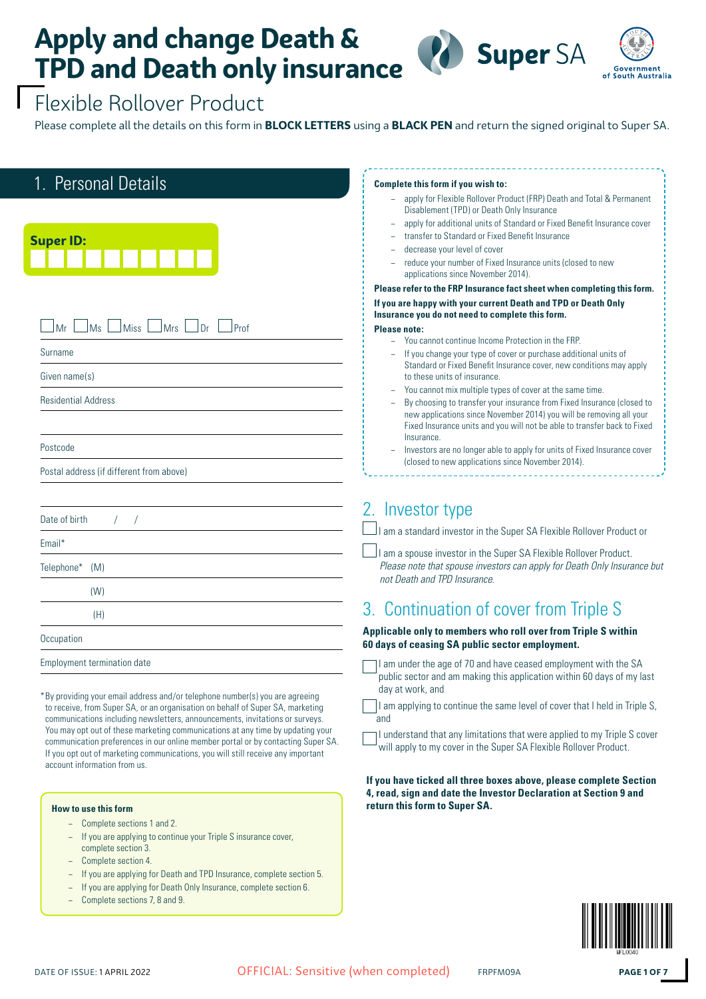



### Flexible Rollover Product

Please complete all the details on this form in **BLOCK LETTERS** using a **BLACK PEN** and return the signed original to Super SA.

| 1. Personal Details                                                                                                                                                                                  | Complete this form if you wish to:                                                                                                      |
|------------------------------------------------------------------------------------------------------------------------------------------------------------------------------------------------------|-----------------------------------------------------------------------------------------------------------------------------------------|
|                                                                                                                                                                                                      | apply for Flexible Rollover Product (FRP) Death and Total & Permanent<br>Disablement (TPD) or Death Only Insurance                      |
|                                                                                                                                                                                                      | apply for additional units of Standard or Fixed Benefit Insurance cover<br>$\equiv$                                                     |
| <b>Super ID:</b>                                                                                                                                                                                     | transfer to Standard or Fixed Benefit Insurance                                                                                         |
|                                                                                                                                                                                                      | decrease your level of cover                                                                                                            |
|                                                                                                                                                                                                      | reduce your number of Fixed Insurance units (closed to new<br>applications since November 2014).                                        |
|                                                                                                                                                                                                      | Please refer to the FRP Insurance fact sheet when completing this form.                                                                 |
|                                                                                                                                                                                                      | If you are happy with your current Death and TPD or Death Only<br>Insurance you do not need to complete this form.                      |
| Miss<br><b>Mrs</b><br>$\ln$<br>Prof<br>Mr<br>Ms                                                                                                                                                      | <b>Please note:</b>                                                                                                                     |
|                                                                                                                                                                                                      | - You cannot continue Income Protection in the FRP.                                                                                     |
| Surname                                                                                                                                                                                              | If you change your type of cover or purchase additional units of<br>Standard or Fixed Benefit Insurance cover, new conditions may apply |
| Given name(s)                                                                                                                                                                                        | to these units of insurance.                                                                                                            |
|                                                                                                                                                                                                      | You cannot mix multiple types of cover at the same time.                                                                                |
| <b>Residential Address</b>                                                                                                                                                                           | By choosing to transfer your insurance from Fixed Insurance (closed to                                                                  |
|                                                                                                                                                                                                      | new applications since November 2014) you will be removing all your                                                                     |
|                                                                                                                                                                                                      | Fixed Insurance units and you will not be able to transfer back to Fixed<br>Insurance.                                                  |
| Postcode                                                                                                                                                                                             | Investors are no longer able to apply for units of Fixed Insurance cover                                                                |
| Postal address (if different from above)                                                                                                                                                             | (closed to new applications since November 2014).                                                                                       |
|                                                                                                                                                                                                      |                                                                                                                                         |
| Date of birth                                                                                                                                                                                        | 2. Investor type                                                                                                                        |
| Email*                                                                                                                                                                                               | am a standard investor in the Super SA Flexible Rollover Product or                                                                     |
|                                                                                                                                                                                                      | I am a spouse investor in the Super SA Flexible Rollover Product.                                                                       |
| Telephone*<br>(M)                                                                                                                                                                                    | Please note that spouse investors can apply for Death Only Insurance but<br>not Death and TPD Insurance.                                |
| (W)                                                                                                                                                                                                  |                                                                                                                                         |
| (H)                                                                                                                                                                                                  | 3. Continuation of cover from Triple S                                                                                                  |
| Occupation                                                                                                                                                                                           | Applicable only to members who roll over from Triple S within<br>60 days of ceasing SA public sector employment.                        |
| <b>Employment termination date</b>                                                                                                                                                                   | I am under the age of 70 and have ceased employment with the SA                                                                         |
|                                                                                                                                                                                                      | public sector and am making this application within 60 days of my last                                                                  |
| *By providing your email address and/or telephone number(s) you are agreeing                                                                                                                         | day at work, and                                                                                                                        |
| to receive, from Super SA, or an organisation on behalf of Super SA, marketing<br>communications including newsletters, announcements, invitations or surveys.                                       | I am applying to continue the same level of cover that I held in Triple S,<br>and                                                       |
| You may opt out of these marketing communications at any time by updating your                                                                                                                       | I understand that any limitations that were applied to my Triple S cover                                                                |
| communication preferences in our online member portal or by contacting Super SA.<br>If you opt out of marketing communications, you will still receive any important<br>account information from us. | will apply to my cover in the Super SA Flexible Rollover Product.                                                                       |

#### **If you have ticked all three boxes above, please complete Section 4, read, sign and date the Investor Declaration at Section 9 and return this form to Super SA.**



**How to use this form**

− Complete sections 1 and 2.

− Complete sections 7, 8 and 9.

complete section 3. − Complete section 4.

− If you are applying to continue your Triple S insurance cover,

− If you are applying for Death and TPD Insurance, complete section 5. − If you are applying for Death Only Insurance, complete section 6.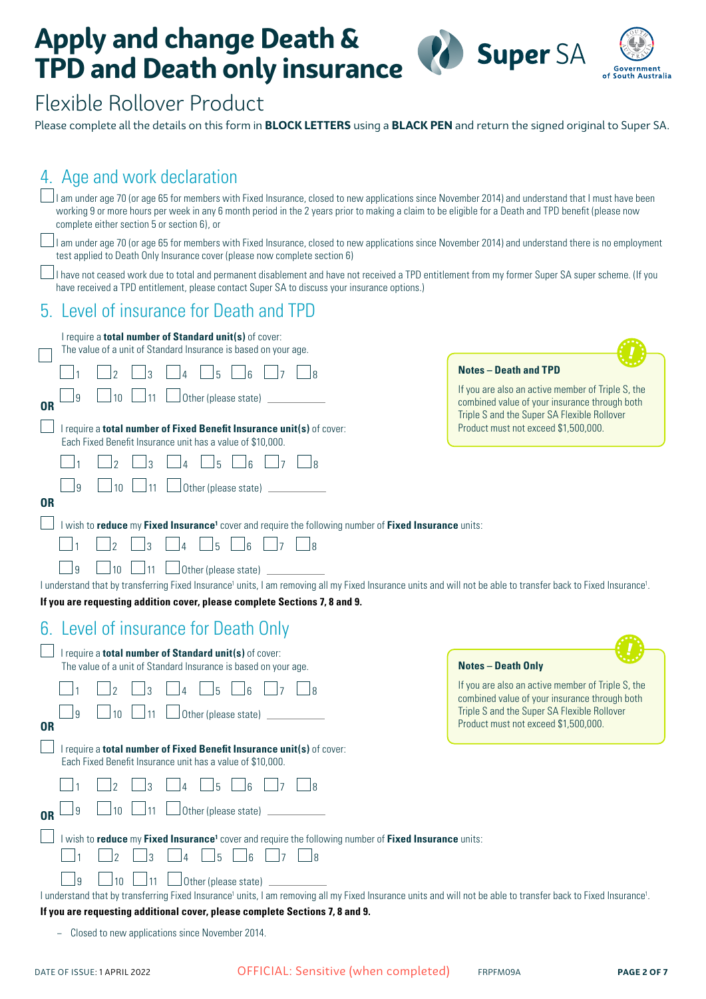



### Flexible Rollover Product

Please complete all the details on this form in **BLOCK LETTERS** using a **BLACK PEN** and return the signed original to Super SA.

#### 4 Age and work declaration

| I am under age 70 (or age 65 for members with Fixed Insurance, closed to new applications since November 2014) and understand that I must have been<br>working 9 or more hours per week in any 6 month period in the 2 years prior to making a claim to be eligible for a Death and TPD benefit (please now<br>complete either section 5 or section 6), or |                                                                                                                                                   |
|------------------------------------------------------------------------------------------------------------------------------------------------------------------------------------------------------------------------------------------------------------------------------------------------------------------------------------------------------------|---------------------------------------------------------------------------------------------------------------------------------------------------|
| I am under age 70 (or age 65 for members with Fixed Insurance, closed to new applications since November 2014) and understand there is no employment<br>test applied to Death Only Insurance cover (please now complete section 6)                                                                                                                         |                                                                                                                                                   |
| I have not ceased work due to total and permanent disablement and have not received a TPD entitlement from my former Super SA super scheme. (If you<br>have received a TPD entitlement, please contact Super SA to discuss your insurance options.)                                                                                                        |                                                                                                                                                   |
| 5. Level of insurance for Death and TPD                                                                                                                                                                                                                                                                                                                    |                                                                                                                                                   |
| I require a total number of Standard unit(s) of cover:<br>The value of a unit of Standard Insurance is based on your age.                                                                                                                                                                                                                                  |                                                                                                                                                   |
|                                                                                                                                                                                                                                                                                                                                                            | <b>Notes - Death and TPD</b>                                                                                                                      |
| 11<br>Other (please state)<br>9<br><b>OR</b>                                                                                                                                                                                                                                                                                                               | If you are also an active member of Triple S, the<br>combined value of your insurance through both<br>Triple S and the Super SA Flexible Rollover |
| I require a total number of Fixed Benefit Insurance unit(s) of cover:<br>Each Fixed Benefit Insurance unit has a value of \$10,000.                                                                                                                                                                                                                        | Product must not exceed \$1,500,000.                                                                                                              |
| $\overline{5}$                                                                                                                                                                                                                                                                                                                                             |                                                                                                                                                   |
| 9<br>11<br>Other (please state)<br>10                                                                                                                                                                                                                                                                                                                      |                                                                                                                                                   |
| 0R                                                                                                                                                                                                                                                                                                                                                         |                                                                                                                                                   |
| I wish to reduce my Fixed Insurance <sup>1</sup> cover and require the following number of Fixed Insurance units:<br> 8                                                                                                                                                                                                                                    |                                                                                                                                                   |
| 9<br>10                                                                                                                                                                                                                                                                                                                                                    |                                                                                                                                                   |
| Other (please state)<br>I understand that by transferring Fixed Insurance <sup>1</sup> units, I am removing all my Fixed Insurance units and will not be able to transfer back to Fixed Insurance <sup>1</sup> .                                                                                                                                           |                                                                                                                                                   |
| If you are requesting addition cover, please complete Sections 7, 8 and 9.                                                                                                                                                                                                                                                                                 |                                                                                                                                                   |
| 6. Level of insurance for Death Only                                                                                                                                                                                                                                                                                                                       |                                                                                                                                                   |
| I require a total number of Standard unit(s) of cover:<br>The value of a unit of Standard Insurance is based on your age.                                                                                                                                                                                                                                  | <b>Notes - Death Only</b>                                                                                                                         |
|                                                                                                                                                                                                                                                                                                                                                            | If you are also an active member of Triple S, the                                                                                                 |
| $\Box$ 10 $\Box$ 11 $\Box$ Other (please state)<br>— ว<br><b>OR</b>                                                                                                                                                                                                                                                                                        | combined value of your insurance through both<br>Triple S and the Super SA Flexible Rollover<br>Product must not exceed \$1,500,000.              |
| I require a total number of Fixed Benefit Insurance unit(s) of cover:<br>Each Fixed Benefit Insurance unit has a value of \$10,000.                                                                                                                                                                                                                        |                                                                                                                                                   |
| $\mathbf{c}$<br>$\Box$ 4 $\Box$ 5<br>$\Box$ 6<br>$\vert$ 2<br>$\vert$ 7                                                                                                                                                                                                                                                                                    |                                                                                                                                                   |
| U Other (please state)<br>10<br>$\perp$ 11<br>9<br><b>OR</b>                                                                                                                                                                                                                                                                                               |                                                                                                                                                   |
| I wish to reduce my Fixed Insurance <sup>1</sup> cover and require the following number of Fixed Insurance units:                                                                                                                                                                                                                                          |                                                                                                                                                   |
| $\overline{\phantom{a}}$ 5<br>$\vert_4$<br>16<br>$\overline{2}$<br>$\vert$ $\vert$ 7<br>$\Box$ 8<br>$\overline{3}$                                                                                                                                                                                                                                         |                                                                                                                                                   |
| $\Box$ Other (please state) $\Box$<br> 11<br>9<br>10 <sup>1</sup>                                                                                                                                                                                                                                                                                          |                                                                                                                                                   |
| I understand that by transferring Fixed Insurance <sup>1</sup> units, I am removing all my Fixed Insurance units and will not be able to transfer back to Fixed Insurance <sup>1</sup> .<br>If you are requesting additional cover, please complete Sections 7, 8 and 9.                                                                                   |                                                                                                                                                   |

− Closed to new applications since November 2014.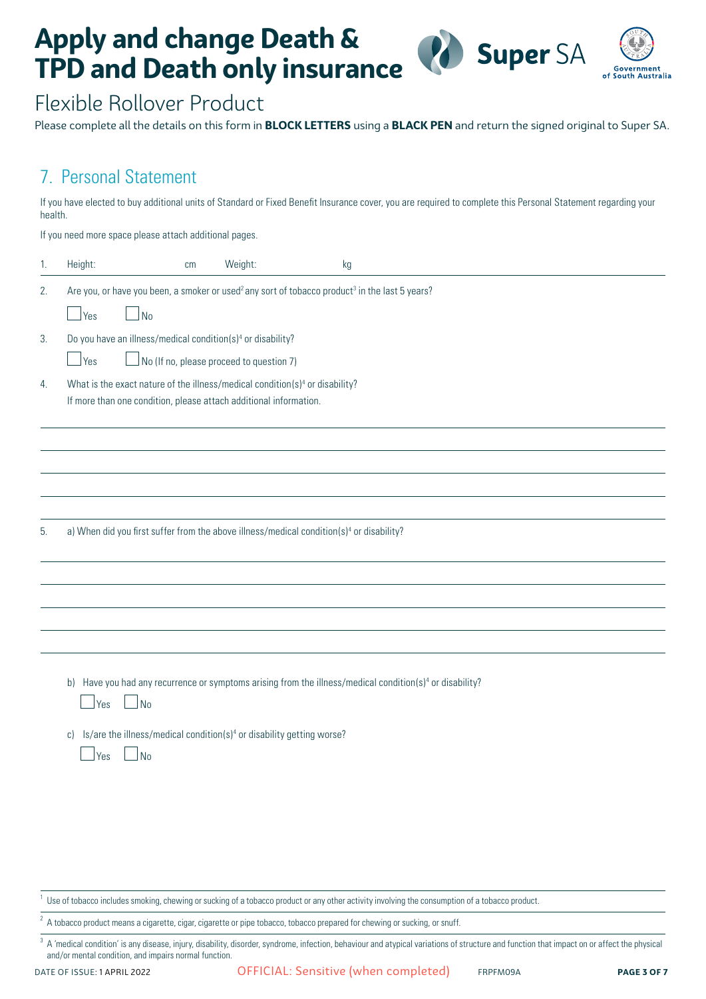



### Flexible Rollover Product

Please complete all the details on this form in **BLOCK LETTERS** using a **BLACK PEN** and return the signed original to Super SA.

#### 7. Personal Statement

If you have elected to buy additional units of Standard or Fixed Benefit Insurance cover, you are required to complete this Personal Statement regarding your health.

If you need more space please attach additional pages.

| 1. | Height:                                                                                                                                                             | cm | Weight:                                          | kg |                                                                                                                      |
|----|---------------------------------------------------------------------------------------------------------------------------------------------------------------------|----|--------------------------------------------------|----|----------------------------------------------------------------------------------------------------------------------|
| 2. | Are you, or have you been, a smoker or used <sup>2</sup> any sort of tobacco product <sup>3</sup> in the last 5 years?<br>$\mathsf{J}_{\mathsf{No}}$<br>$\vert$ Yes |    |                                                  |    |                                                                                                                      |
| 3. | Do you have an illness/medical condition(s) <sup>4</sup> or disability?<br>$\rfloor$ Yes                                                                            |    | $\vert$ No (If no, please proceed to question 7) |    |                                                                                                                      |
| 4. | What is the exact nature of the illness/medical condition(s) <sup>4</sup> or disability?<br>If more than one condition, please attach additional information.       |    |                                                  |    |                                                                                                                      |
|    |                                                                                                                                                                     |    |                                                  |    |                                                                                                                      |
| 5. | a) When did you first suffer from the above illness/medical condition(s) <sup>4</sup> or disability?                                                                |    |                                                  |    |                                                                                                                      |
|    |                                                                                                                                                                     |    |                                                  |    |                                                                                                                      |
|    | $\Box$ No<br>∫Yes<br>Is/are the illness/medical condition(s) <sup>4</sup> or disability getting worse?<br>$\mathsf{C}$<br><b>No</b><br>Yes                          |    |                                                  |    | b) Have you had any recurrence or symptoms arising from the illness/medical condition(s) <sup>4</sup> or disability? |
|    |                                                                                                                                                                     |    |                                                  |    |                                                                                                                      |

Use of tobacco includes smoking, chewing or sucking of a tobacco product or any other activity involving the consumption of a tobacco product.

 $2\overline{2}$  A tobacco product means a cigarette, cigar, cigarette or pipe tobacco, tobacco prepared for chewing or sucking, or snuff.

<sup>3</sup> A 'medical condition' is any disease, injury, disability, disorder, syndrome, infection, behaviour and atypical variations of structure and function that impact on or affect the physical and/or mental condition, and impairs normal function.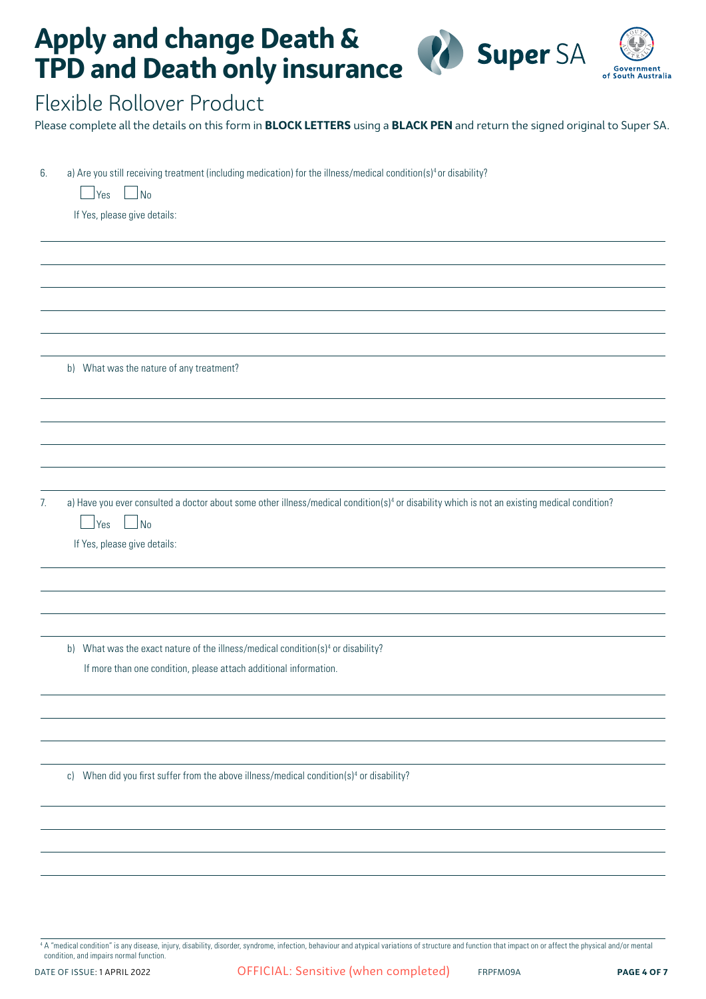

ment<br>.ustralia

### Flexible Rollover Product

Please complete all the details on this form in **BLOCK LETTERS** using a **BLACK PEN** and return the signed original to Super SA.

| 6. | a) Are you still receiving treatment (including medication) for the illness/medical condition(s) <sup>4</sup> or disability?                             |  |  |  |  |  |  |  |
|----|----------------------------------------------------------------------------------------------------------------------------------------------------------|--|--|--|--|--|--|--|
|    | Yes<br>No                                                                                                                                                |  |  |  |  |  |  |  |
|    | If Yes, please give details:                                                                                                                             |  |  |  |  |  |  |  |
|    |                                                                                                                                                          |  |  |  |  |  |  |  |
|    |                                                                                                                                                          |  |  |  |  |  |  |  |
|    |                                                                                                                                                          |  |  |  |  |  |  |  |
|    |                                                                                                                                                          |  |  |  |  |  |  |  |
|    |                                                                                                                                                          |  |  |  |  |  |  |  |
|    | b) What was the nature of any treatment?                                                                                                                 |  |  |  |  |  |  |  |
|    |                                                                                                                                                          |  |  |  |  |  |  |  |
|    |                                                                                                                                                          |  |  |  |  |  |  |  |
|    |                                                                                                                                                          |  |  |  |  |  |  |  |
|    |                                                                                                                                                          |  |  |  |  |  |  |  |
|    |                                                                                                                                                          |  |  |  |  |  |  |  |
| 7. | a) Have you ever consulted a doctor about some other illness/medical condition(s) <sup>4</sup> or disability which is not an existing medical condition? |  |  |  |  |  |  |  |
|    | Yes<br>$\overline{\phantom{a}}$ No                                                                                                                       |  |  |  |  |  |  |  |
|    | If Yes, please give details:                                                                                                                             |  |  |  |  |  |  |  |
|    |                                                                                                                                                          |  |  |  |  |  |  |  |
|    |                                                                                                                                                          |  |  |  |  |  |  |  |
|    |                                                                                                                                                          |  |  |  |  |  |  |  |
|    | b) What was the exact nature of the illness/medical condition(s) <sup>4</sup> or disability?                                                             |  |  |  |  |  |  |  |
|    | If more than one condition, please attach additional information.                                                                                        |  |  |  |  |  |  |  |
|    |                                                                                                                                                          |  |  |  |  |  |  |  |
|    |                                                                                                                                                          |  |  |  |  |  |  |  |
|    |                                                                                                                                                          |  |  |  |  |  |  |  |
|    |                                                                                                                                                          |  |  |  |  |  |  |  |
|    | c) When did you first suffer from the above illness/medical condition(s) <sup>4</sup> or disability?                                                     |  |  |  |  |  |  |  |
|    |                                                                                                                                                          |  |  |  |  |  |  |  |
|    |                                                                                                                                                          |  |  |  |  |  |  |  |
|    |                                                                                                                                                          |  |  |  |  |  |  |  |
|    |                                                                                                                                                          |  |  |  |  |  |  |  |
|    |                                                                                                                                                          |  |  |  |  |  |  |  |
|    |                                                                                                                                                          |  |  |  |  |  |  |  |

<sup>4</sup> A "medical condition" is any disease, injury, disability, disorder, syndrome, infection, behaviour and atypical variations of structure and function that impact on or affect the physical and/or mental condition, and impairs normal function.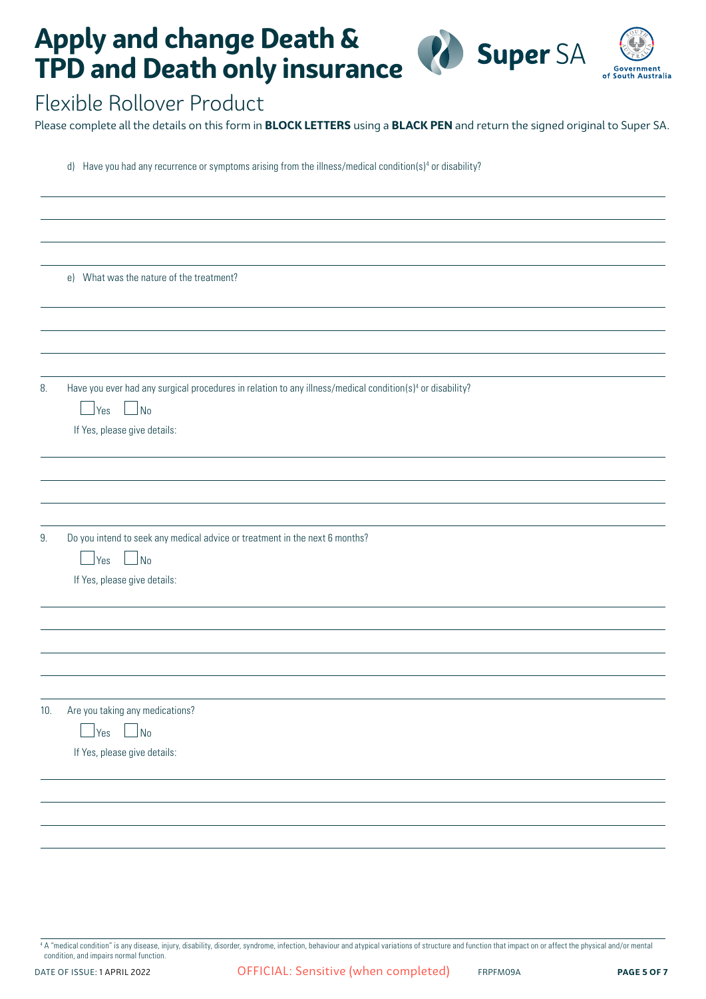

#### Flexible Rollover Product

Please complete all the details on this form in **BLOCK LETTERS** using a **BLACK PEN** and return the signed original to Super SA.

d) Have you had any recurrence or symptoms arising from the illness/medical condition(s)<sup>4</sup> or disability?

e) What was the nature of the treatment? 8. Have you ever had any surgical procedures in relation to any illness/medical condition(s)<sup>4</sup> or disability?  $|$  Yes  $|$  No If Yes, please give details: 9. Do you intend to seek any medical advice or treatment in the next 6 months?  $|$   $|$  Yes  $|$   $|$  No If Yes, please give details: 10. Are you taking any medications?  $\Box$  Yes  $\Box$  No If Yes, please give details:

<sup>4</sup> A "medical condition" is any disease, injury, disability, disorder, syndrome, infection, behaviour and atypical variations of structure and function that impact on or affect the physical and/or mental condition, and impairs normal function.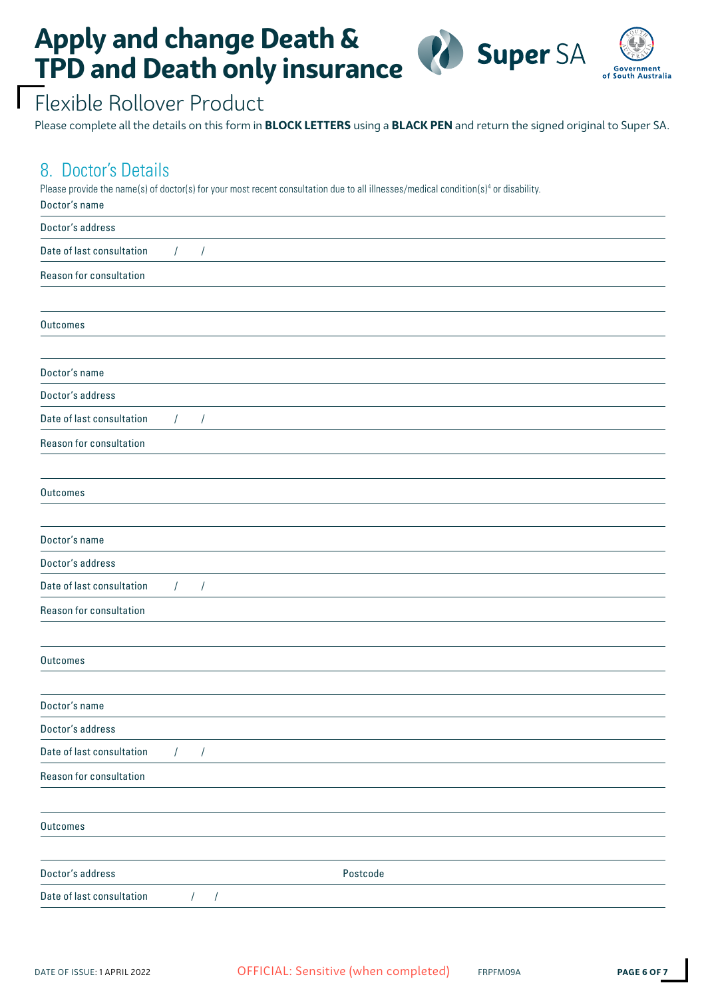

## Flexible Rollover Product

Please complete all the details on this form in **BLOCK LETTERS** using a **BLACK PEN** and return the signed original to Super SA.

#### 8. Doctor's Details

Please provide the name(s) of doctor(s) for your most recent consultation due to all illnesses/medical condition(s)<sup>4</sup> or disability. Doctor's name

| <b>DOUGLO</b> DIRING      |                          |          |  |
|---------------------------|--------------------------|----------|--|
| Doctor's address          |                          |          |  |
| Date of last consultation | $\sqrt{2}$<br>$\sqrt{2}$ |          |  |
| Reason for consultation   |                          |          |  |
|                           |                          |          |  |
| Outcomes                  |                          |          |  |
|                           |                          |          |  |
| Doctor's name             |                          |          |  |
| Doctor's address          |                          |          |  |
| Date of last consultation | $\sqrt{ }$<br>$\sqrt{2}$ |          |  |
| Reason for consultation   |                          |          |  |
|                           |                          |          |  |
| Outcomes                  |                          |          |  |
|                           |                          |          |  |
| Doctor's name             |                          |          |  |
| Doctor's address          |                          |          |  |
| Date of last consultation | $\sqrt{ }$<br>$\prime$   |          |  |
| Reason for consultation   |                          |          |  |
|                           |                          |          |  |
| Outcomes                  |                          |          |  |
|                           |                          |          |  |
| Doctor's name             |                          |          |  |
| Doctor's address          |                          |          |  |
| Date of last consultation | $\sqrt{2}$<br>$\prime$   |          |  |
| Reason for consultation   |                          |          |  |
|                           |                          |          |  |
| Outcomes                  |                          |          |  |
|                           |                          |          |  |
| Doctor's address          |                          | Postcode |  |
| Date of last consultation | $\sqrt{2}$<br>$\sqrt{2}$ |          |  |